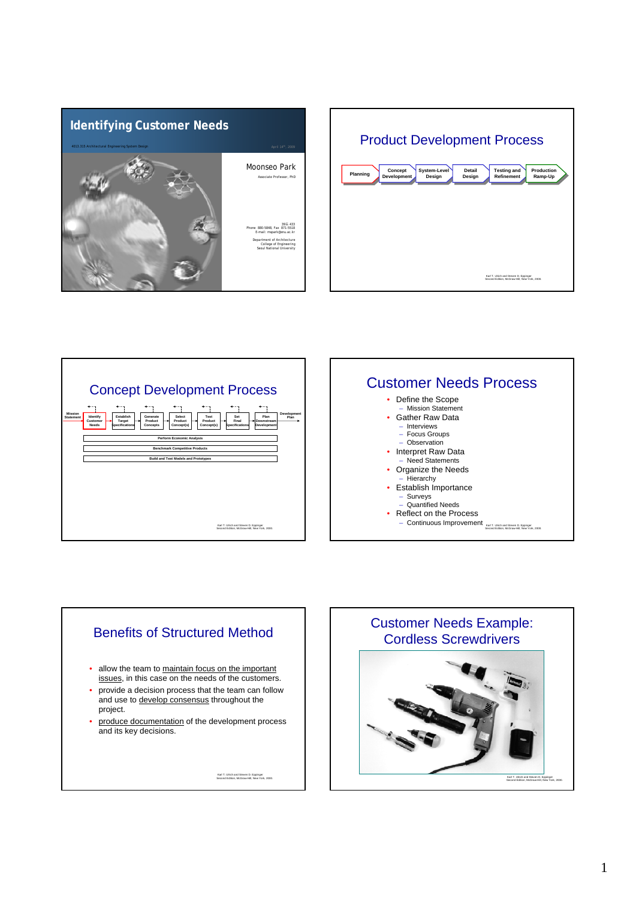







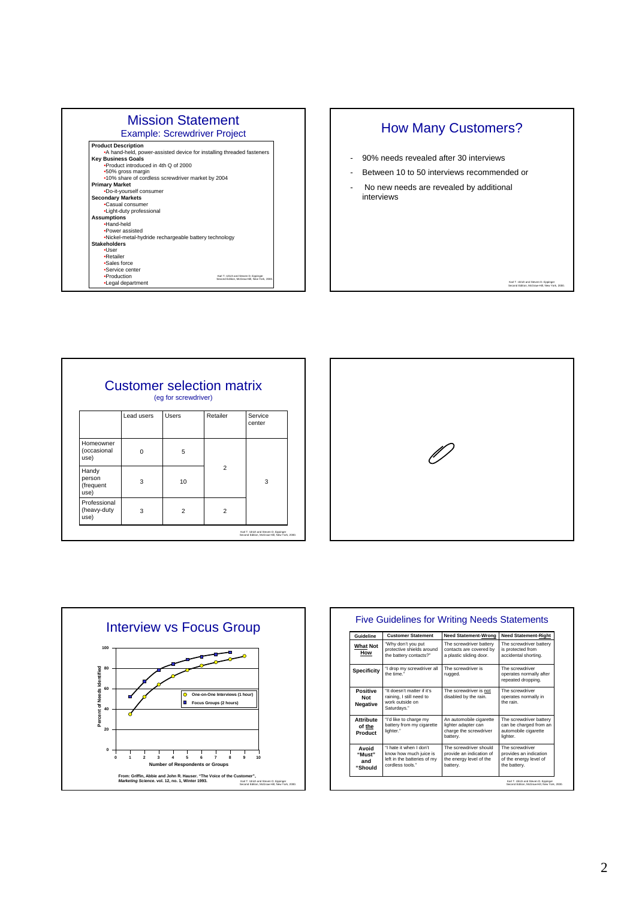| <b>Mission Statement</b>                                              |                                                                                      |
|-----------------------------------------------------------------------|--------------------------------------------------------------------------------------|
| <b>Example: Screwdriver Project</b>                                   |                                                                                      |
| <b>Product Description</b>                                            |                                                                                      |
| •A hand-held, power-assisted device for installing threaded fasteners |                                                                                      |
| <b>Key Business Goals</b>                                             |                                                                                      |
| •Product introduced in 4th Q of 2000                                  |                                                                                      |
| •50% gross margin                                                     |                                                                                      |
| •10% share of cordless screwdriver market by 2004                     |                                                                                      |
| <b>Primary Market</b>                                                 |                                                                                      |
| .Do-it-yourself consumer                                              |                                                                                      |
| <b>Secondary Markets</b>                                              |                                                                                      |
| .Casual consumer                                                      |                                                                                      |
| •Light-duty professional                                              |                                                                                      |
| <b>Assumptions</b>                                                    |                                                                                      |
| .Hand-held                                                            |                                                                                      |
| •Power assisted                                                       |                                                                                      |
| .Nickel-metal-hydride rechargeable battery technology                 |                                                                                      |
| <b>Stakeholders</b>                                                   |                                                                                      |
| ·l Iser                                                               |                                                                                      |
| •Retailer                                                             |                                                                                      |
| •Sales force                                                          |                                                                                      |
| •Service center                                                       |                                                                                      |
| ·Production                                                           | Karl T. Ulrich and Steven D. Eccinoer<br>Second Edition, McGraw-Hill, New York, 2000 |
| •Legal department                                                     |                                                                                      |

## How Many Customers?

- 90% needs revealed after 30 interviews
- Between 10 to 50 interviews recommended or
- No new needs are revealed by additional interviews

Karl T. Ulrich and Steven D. Eppinger Second Edition, McGraw-Hill, New York, 2000.

| <b>Customer selection matrix</b><br>(eg for screwdriver) |            |                |                |                   |  |
|----------------------------------------------------------|------------|----------------|----------------|-------------------|--|
|                                                          | Lead users | Users          | Retailer       | Service<br>center |  |
| Homeowner<br>(occasional<br>use)                         | O          | 5              |                |                   |  |
| Handy<br>person<br>(frequent<br>use)                     | 3          | 10             | $\overline{2}$ | 3                 |  |
| Professional<br>(heavy-duty<br>use)                      | 3          | $\overline{2}$ | $\overline{2}$ |                   |  |

٦





| Guideline                             | <b>Customer Statement</b>                                                                            | <b>Need Statement-Wrong</b>                                                               | <b>Need Statement-Right</b>                                                           |
|---------------------------------------|------------------------------------------------------------------------------------------------------|-------------------------------------------------------------------------------------------|---------------------------------------------------------------------------------------|
| <b>What Not</b><br>How                | "Why don't you put<br>protective shields around<br>the battery contacts?"                            | The screwdriver battery<br>contacts are covered by<br>a plastic sliding door.             | The screwdriver battery<br>is protected from<br>accidental shorting.                  |
| <b>Specificity</b>                    | "I drop my screwdriver all<br>the time."                                                             | The screwdriver is<br>rugged.                                                             | The screwdriver<br>operates normally after<br>repeated dropping.                      |
| Positive<br>Not<br>Negative           | "It doesn't matter if it's<br>raining, I still need to<br>work outside on<br>Saturdays."             | The screwdriver is not<br>disabled by the rain.                                           | The screwdriver<br>operates normally in<br>the rain.                                  |
| <b>Attribute</b><br>of the<br>Product | "I'd like to charge my<br>battery from my cigarette<br>lighter."                                     | An automobile cigarette<br>lighter adapter can<br>charge the screwdriver<br>battery.      | The screwdriver battery<br>can be charged from an<br>automobile cigarette<br>lighter. |
| hiovA<br>"Must"<br>and<br>"Should     | "I hate it when I don't<br>know how much juice is<br>left in the batteries of my<br>cordless tools." | The screwdriver should<br>provide an indication of<br>the energy level of the<br>battery. | The screwdriver<br>provides an indication<br>of the energy level of<br>the battery.   |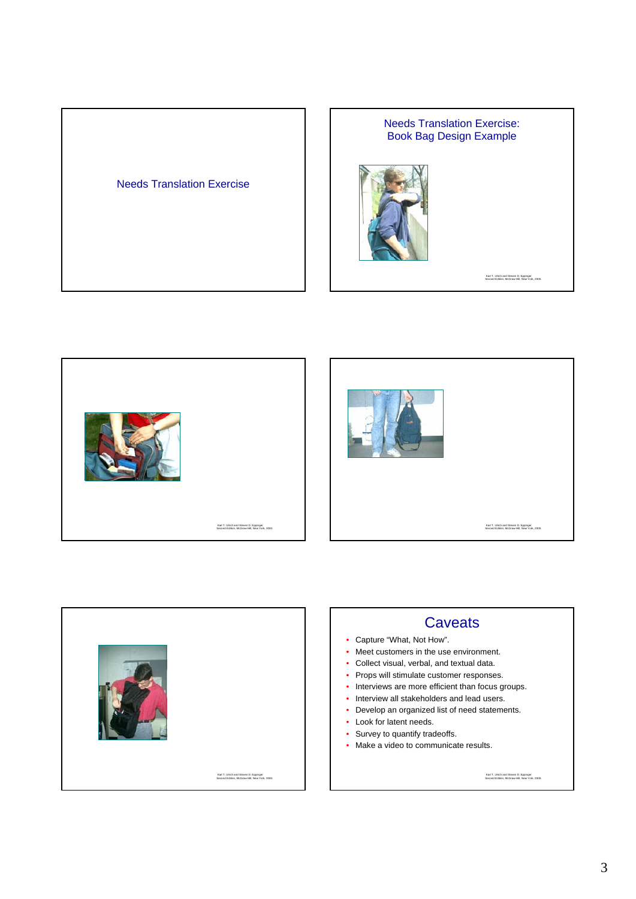





## **Caveats**

- Capture "What, Not How".
- Meet customers in the use environment.
- Collect visual, verbal, and textual data.
- Props will stimulate customer responses.
- Interviews are more efficient than focus groups.
- Interview all stakeholders and lead users.
- Develop an organized list of need statements.
- Look for latent needs.
- Survey to quantify tradeoffs.
- Make a video to communicate results.

Karl T. Ulrich and Steven D. Eppinger Second Edition, McGraw-Hill, New York, 2000.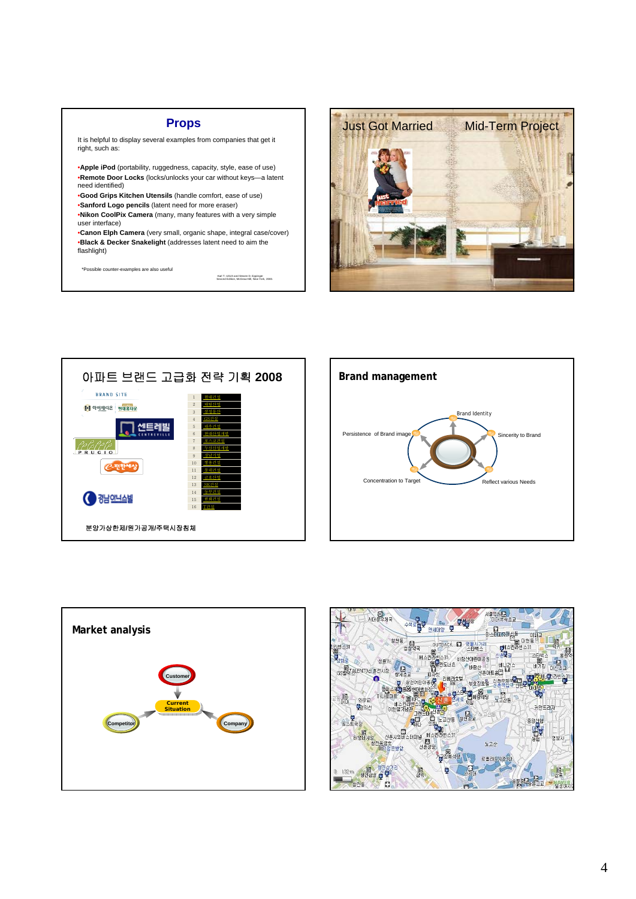## **Props**

It is helpful to display several examples from companies that get it right, such as:

- •**Apple iPod** (portability, ruggedness, capacity, style, ease of use) •**Remote Door Locks** (locks/unlocks your car without keys—a latent need identified)
- •**Good Grips Kitchen Utensils** (handle comfort, ease of use) •**Sanford Logo pencils** (latent need for more eraser)
- •**Nikon CoolPix Camera** (many, many features with a very simple user interface)
- •**Canon Elph Camera** (very small, organic shape, integral case/cover) •**Black & Decker Snakelight** (addresses latent need to aim the flashlight)

\*Possible counter-examples are also useful

Karl T. Ulrich and Steven D. Eppinger Second Edition, McGraw-Hill, New York, 2000.